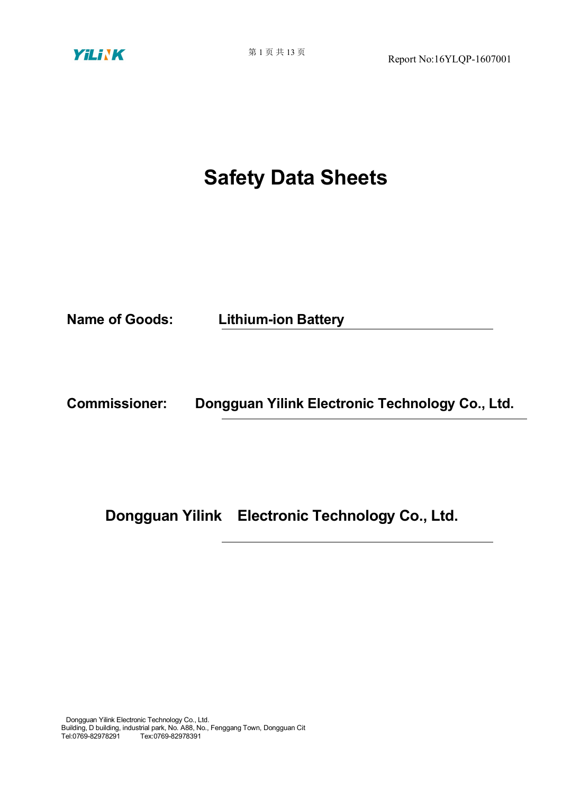

# **Safety Data Sheets**

**Name of Goods: Lithium-ion Battery**

**Commissioner: Dongguan Yilink Electronic Technology Co., Ltd.**

**Dongguan Yilink Electronic Technology Co., Ltd.**

Dongguan Yilink Electronic Technology Co., Ltd. Building, D building, industrial park, No. A88, No., Fenggang Town, Dongguan Cit Tel:0769-82978291 Tex:0769-82978391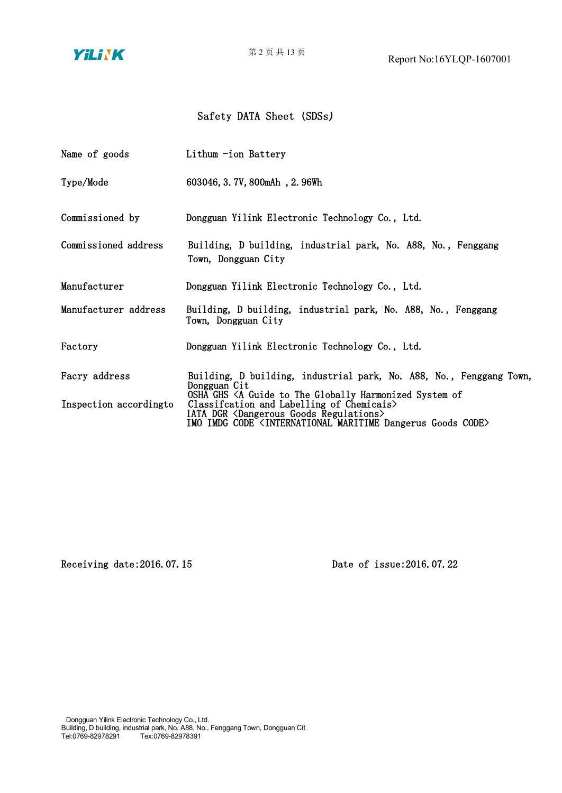YiLiNK

### Safety DATA Sheet (SDSs)

| Name of goods                            | Lithum -ion Battery                                                                                                                                                                                                                                                                                                                                                             |
|------------------------------------------|---------------------------------------------------------------------------------------------------------------------------------------------------------------------------------------------------------------------------------------------------------------------------------------------------------------------------------------------------------------------------------|
| Type/Mode                                | 603046, 3.7V, 800mAh, 2.96Wh                                                                                                                                                                                                                                                                                                                                                    |
| Commissioned by                          | Dongguan Yilink Electronic Technology Co., Ltd.                                                                                                                                                                                                                                                                                                                                 |
| Commissioned address                     | Building, D building, industrial park, No. A88, No., Fenggang<br>Town, Dongguan City                                                                                                                                                                                                                                                                                            |
| Manufacturer                             | Dongguan Yilink Electronic Technology Co., Ltd.                                                                                                                                                                                                                                                                                                                                 |
| Manufacturer address                     | Building, D building, industrial park, No. A88, No., Fenggang<br>Town, Dongguan City                                                                                                                                                                                                                                                                                            |
| Factory                                  | Dongguan Yilink Electronic Technology Co., Ltd.                                                                                                                                                                                                                                                                                                                                 |
| Facry address<br>Inspection according to | Building, D building, industrial park, No. A88, No., Fenggang Town,<br>Dongguan Cit<br>OSHA GHS <a globally="" guide="" harmonized="" of<br="" system="" the="" to="">Classification and Labelling of Chemicais&gt;<br/>IATA DGR <dangerous goods="" regulations=""><br/>IMO IMDG CODE <international code="" dangerus="" goods="" maritime=""></international></dangerous></a> |
|                                          |                                                                                                                                                                                                                                                                                                                                                                                 |

Receiving date:2016.07.15 Date of issue:2016.07.22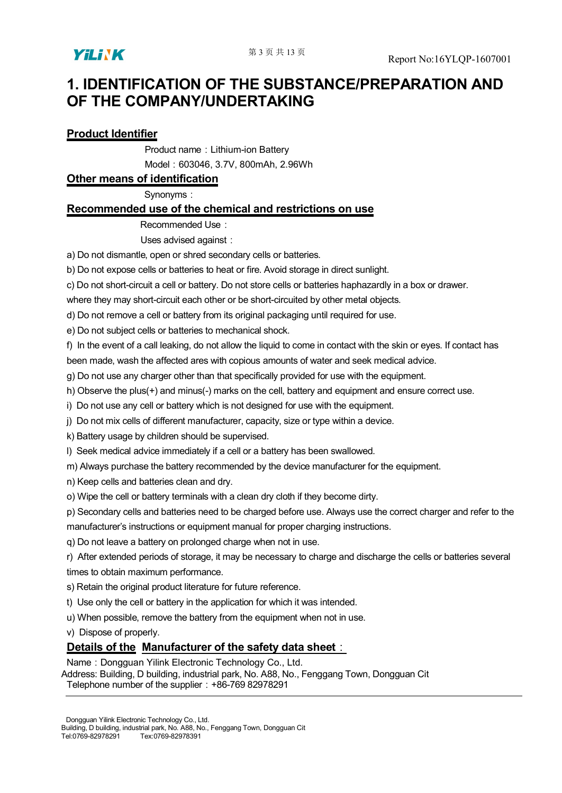

# **1. IDENTIFICATION OF THE SUBSTANCE/PREPARATION AND OF THE COMPANY/UNDERTAKING**

### **Product Identifier**

Product name: Lithium-ion Battery

Model:603046, 3.7V, 800mAh, 2.96Wh

#### **Other means of identification**

Synonyms:

### **Recommended use of the chemical and restrictions on use**

Recommended Use:

Uses advised against:

a) Do not dismantle, open or shred secondary cells or batteries.

b) Do not expose cells or batteries to heat or fire. Avoid storage in direct sunlight.

c) Do not short-circuit a cell or battery. Do not store cells or batteries haphazardly in a box or drawer.

where they may short-circuit each other or be short-circuited by other metal objects.

d) Do not remove a cell or battery from its original packaging until required for use.

e) Do not subject cells or batteries to mechanical shock.

f) In the event of a call leaking, do not allow the liquid to come in contact with the skin or eyes. If contact has been made, wash the affected ares with copious amounts of water and seek medical advice.

g) Do not use any charger other than that specifically provided for use with the equipment.

h) Observe the plus(+) and minus(-) marks on the cell, battery and equipment and ensure correct use.

i) Do not use any cell or battery which is not designed for use with the equipment.

j) Do not mix cells of different manufacturer, capacity, size or type within a device.

k) Battery usage by children should be supervised.

l) Seek medical advice immediately if a cell or a battery has been swallowed.

m) Always purchase the battery recommended by the device manufacturer for the equipment.

n) Keep cells and batteries clean and dry.

o) Wipe the cell or battery terminals with a clean dry cloth if they become dirty.

p) Secondary cells and batteries need to be charged before use. Always use the correct charger and refer to the

manufacturer's instructions or equipment manual for proper charging instructions.<br>q) Do not leave a battery on prolonged charge when not in use.

r) After extended periods of storage, it may be necessary to charge and discharge the cells or batteries several times to obtain maximum performance.

s) Retain the original product literature for future reference.

t) Use only the cell or battery in the application for which it was intended.

u) When possible, remove the battery from the equipment when not in use.

v) Dispose of properly.

### **Details of the Manufacturer of the safety data sheet**:

Name: Dongguan Yilink Electronic Technology Co., Ltd.

Address: Building, D building, industrial park, No. A88, No., Fenggang Town, Dongguan Cit Telephone number of the supplier: +86-769 82978291

Dongguan Yilink Electronic Technology Co., Ltd.

Building, D building, industrial park, No. A88, No., Fenggang Town, Dongguan Cit<br>Tel:0769-82978291 Tex:0769-82978391 Tex:0769-82978391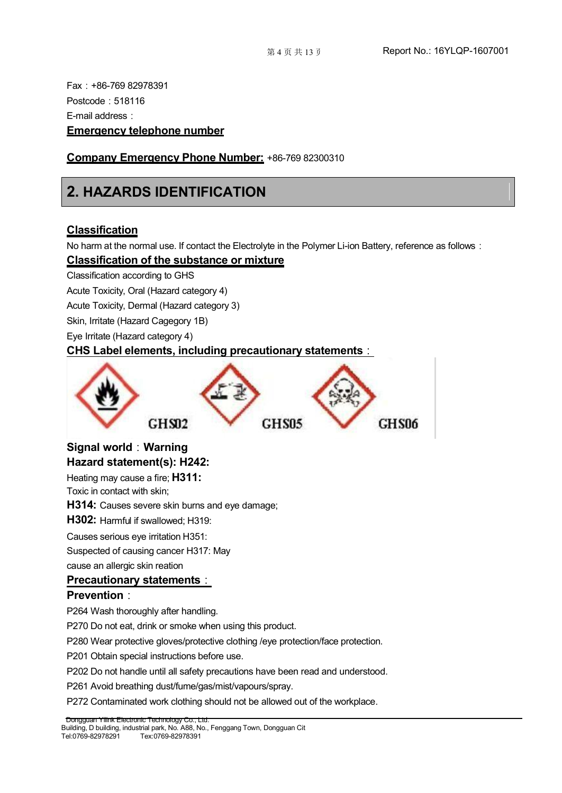Fax:+86-769 82978391 Postcode: 518116 E-mail address: **Emergency telephone number**

### **Company Emergency Phone Number:**+86-769 82300310

# **2. HAZARDS IDENTIFICATION**

### **Classification**

No harm at the normal use. If contact the Electrolyte in the Polymer Li-ion Battery, reference as follows:

### **Classification of the substance or mixture**

Classification according to GHS

Acute Toxicity, Oral (Hazard category 4)

Acute Toxicity, Dermal (Hazard category 3)

Skin, Irritate (Hazard Cagegory 1B)

Eye Irritate (Hazard category 4)

### **CHS Label elements, including precautionary statements**:



### **Signal world**:**Warning Hazard statement(s): H242:**

Heating may cause a fire; **H311:**

Toxic in contact with skin;

**H314:** Causes severe skin burns and eye damage;

**H302:** Harmful if swallowed; H319:

Causes serious eye irritation H351:

Suspected of causing cancer H317: May

cause an allergic skin reation

### **Precautionary statements**:

### **Prevention**:

P264 Wash thoroughly after handling.

Dongguan Yilink Electronic Technology Co., Ltd.

P270 Do not eat, drink or smoke when using this product.

P280 Wear protective gloves/protective clothing /eye protection/face protection.

P201 Obtain special instructions before use.

P202 Do not handle until all safety precautions have been read and understood.

P261 Avoid breathing dust/fume/gas/mist/vapours/spray.

P272 Contaminated work clothing should not be allowed out of the workplace.

Building, D building, industrial park, No. A88, No., Fenggang Town, Dongguan Cit<br>Tel:0769-82978291 Tex:0769-82978391 Tel:0769-82978291 Tex:0769-82978391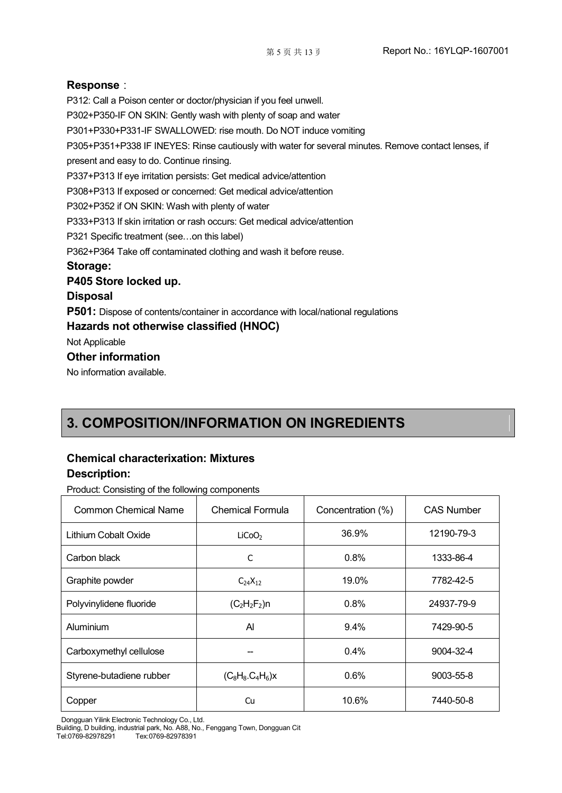#### **Response**:

P312: Call a Poison center or doctor/physician if you feel unwell. P302+P350-IF ON SKIN: Gently wash with plenty of soap and water P301+P330+P331-IF SWALLOWED: rise mouth. Do NOT induce vomiting P305+P351+P338 IF INEYES: Rinse cautiously with water for several minutes. Remove contact lenses, if present and easy to do. Continue rinsing. P337+P313 If eye irritation persists: Get medical advice/attention P308+P313 If exposed or concerned: Get medical advice/attention P302+P352 if ON SKIN: Wash with plenty of water P333+P313 If skin irritation or rash occurs: Get medical advice/attention P321 Specific treatment (see...on this label) P362+P364 Take off contaminated clothing and wash it before reuse. **Storage: P405 Store locked up. Disposal P501:** Dispose of contents/container in accordance with local/national regulations **Hazards not otherwise classified (HNOC)** Not Applicable **Other information** No information available.

# **3. COMPOSITION/INFORMATION ON INGREDIENTS**

### **Chemical characterixation: Mixtures Description:**

Product: Consisting of the following components

| <b>Common Chemical Name</b> | <b>Chemical Formula</b> | Concentration (%) | <b>CAS Number</b> |  |
|-----------------------------|-------------------------|-------------------|-------------------|--|
| Lithium Cobalt Oxide        | LiCoO <sub>2</sub>      | 36.9%             | 12190-79-3        |  |
| Carbon black                | С                       | 0.8%              | 1333-86-4         |  |
| Graphite powder             | $C_{24}X_{12}$          | 19.0%             | 7782-42-5         |  |
| Polyvinylidene fluoride     | $(C_2H_2F_2)n$          | 0.8%              | 24937-79-9        |  |
| Aluminium                   | $\mathsf{A}$            | 9.4%              | 7429-90-5         |  |
| Carboxymethyl cellulose     |                         | 0.4%              | 9004-32-4         |  |
| Styrene-butadiene rubber    | $(C_8H_8.C_4H_6)x$      | 0.6%              | 9003-55-8         |  |
| Copper                      | Cu                      | 10.6%             | 7440-50-8         |  |
|                             |                         |                   |                   |  |

Dongguan Yilink Electronic Technology Co., Ltd.

Building, D building, industrial park, No. A88, No., Fenggang Town, Dongguan Cit Tel:0769-82978291 Tex:0769-82978391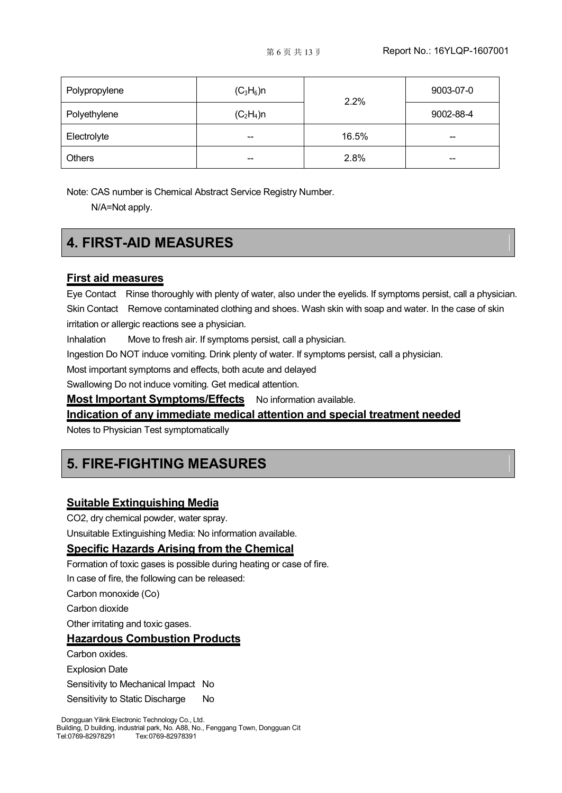| Polypropylene | $(C_3H_6)$ n             | 2.2%  | 9003-07-0                |  |
|---------------|--------------------------|-------|--------------------------|--|
| Polyethylene  | $(C_2H_4)$ n             |       | 9002-88-4                |  |
| Electrolyte   | $- -$                    | 16.5% | --                       |  |
| <b>Others</b> | $\overline{\phantom{m}}$ | 2.8%  | $\overline{\phantom{m}}$ |  |

Note: CAS number is Chemical Abstract Service Registry Number.

N/A=Not apply.

# **4. FIRST-AID MEASURES**

#### **First aid measures**

Eye Contact Rinse thoroughly with plenty of water, also under the eyelids. If symptoms persist, call a physician. Skin Contact Remove contaminated clothing and shoes. Wash skin with soap and water. In the case of skin irritation or allergic reactions see a physician.

Inhalation Move to fresh air. If symptoms persist, call a physician.

Ingestion Do NOT induce vomiting. Drink plenty of water. If symptoms persist, call a physician.

Most important symptoms and effects, both acute and delayed

Swallowing Do not induce vomiting. Get medical attention.

**Most Important Symptoms/Effects** No information available.

**Indication of any immediate medical attention and special treatment needed**

Notes to Physician Test symptomatically

## **5. FIRE-FIGHTING MEASURES**

### **Suitable Extinguishing Media**

CO2, dry chemical powder, water spray.

Unsuitable Extinguishing Media: No information available.

### **Specific Hazards Arising from the Chemical**

Formation of toxic gases is possible during heating or case of fire.

In case of fire, the following can be released:

Carbon monoxide (Co)

Carbon dioxide

Other irritating and toxic gases.

### **Hazardous Combustion Products**

Carbon oxides.

Explosion Date

Sensitivity to Mechanical Impact No

Sensitivity to Static Discharge No

Dongguan Yilink Electronic Technology Co., Ltd. Building, D building, industrial park, No. A88, No., Fenggang Town, Dongguan Cit<br>Tel:0769-82978291 Tex:0769-82978391 Tel:0769-82978291 Tex:0769-82978391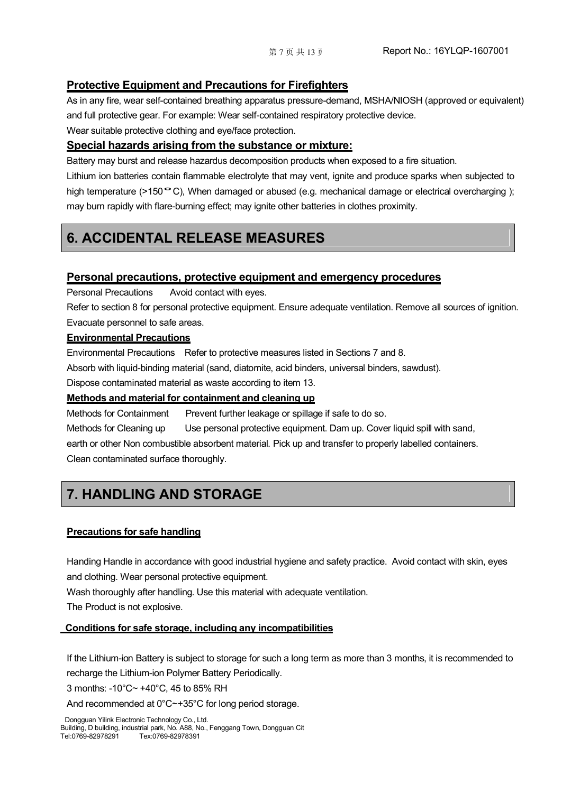### **Protective Equipment and Precautions for Firefighters**

As in any fire, wear self-contained breathing apparatus pressure-demand, MSHA/NIOSH (approved or equivalent) and full protective gear. For example: Wear self-contained respiratory protective device.

Wear suitable protective clothing and eye/face protection.

### **Special hazards arising from the substance or mixture:**

Battery may burst and release hazardus decomposition products when exposed to a fire situation.

Lithium ion batteries contain flammable electrolyte that may vent, ignite and produce sparks when subjected to high temperature (>150 °C), When damaged or abused (e.g. mechanical damage or electrical overcharging ); may burn rapidly with flare-burning effect; may ignite other batteries in clothes proximity.

# **6. ACCIDENTAL RELEASE MEASURES**

### **Personal precautions, protective equipment and emergency procedures**

Personal Precautions Avoid contact with eyes.

Refer to section 8 for personal protective equipment. Ensure adequate ventilation. Remove all sources of ignition. Evacuate personnel to safe areas.

### **Environmental Precautions**

Environmental Precautions Refer to protective measures listed in Sections 7 and 8.

Absorb with liquid-binding material (sand, diatomite, acid binders, universal binders, sawdust).

Dispose contaminated material as waste according to item 13.

### **Methods and material for containment and cleaning up**

Methods for Containment Prevent further leakage or spillage if safe to do so.

Methods for Cleaning up Use personal protective equipment. Dam up. Cover liquid spill with sand,

earth or other Non combustible absorbent material. Pick up and transfer to properly labelled containers. Clean contaminated surface thoroughly.

# **7. HANDLING AND STORAGE**

### **Precautions for safe handling**

Handing Handle in accordance with good industrial hygiene and safety practice. Avoid contact with skin, eyes and clothing. Wear personal protective equipment.

Wash thoroughly after handling. Use this material with adequate ventilation.

The Product is not explosive.

### **Conditions for safe storage, including any incompatibilities**

If the Lithium-ion Battery is subject to storage for such a long term as more than 3 months, it is recommended to recharge the Lithium-ion Polymer Battery Periodically.

3 months: -10°C~ +40°C, 45 to 85% RH

And recommended at 0°C~+35°C for long period storage.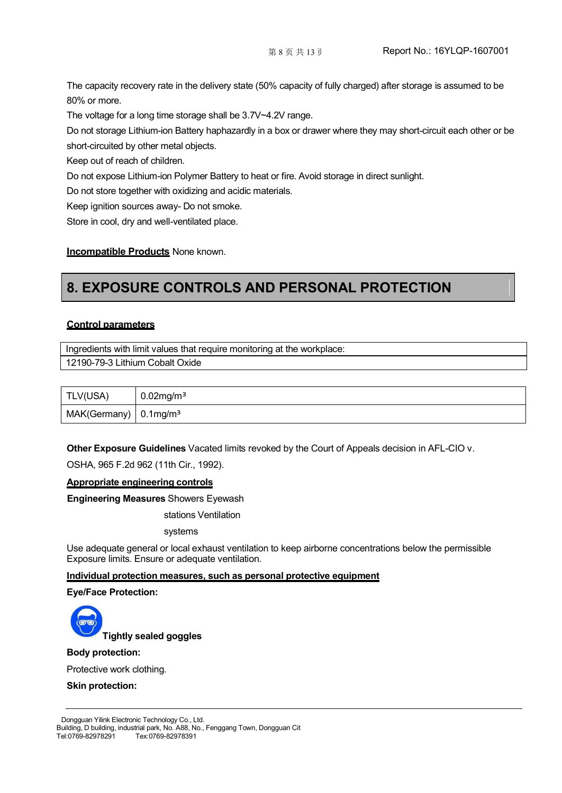The capacity recovery rate in the delivery state (50% capacity of fully charged) after storage is assumed to be 80% or more.

The voltage for a long time storage shall be 3.7V~4.2V range.

Do not storage Lithium-ion Battery haphazardly in a box or drawer where they may short-circuit each other or be short-circuited by other metal objects.

Keep out of reach of children.

Do not expose Lithium-ion Polymer Battery to heat or fire. Avoid storage in direct sunlight.

Do not store together with oxidizing and acidic materials.

Keep ignition sources away- Do not smoke.

Store in cool, dry and well-ventilated place.

#### **Incompatible Products** None known.

# **8. EXPOSURE CONTROLS AND PERSONAL PROTECTION**

#### **Control parameters**

Ingredients with limit values that require monitoring at the workplace:

12190-79-3 Lithium Cobalt Oxide

| TLV(USA)                            | $0.02$ mg/m <sup>3</sup> |
|-------------------------------------|--------------------------|
| MAK(Germany)   0.1mg/m <sup>3</sup> |                          |

**Other Exposure Guidelines** Vacated limits revoked by the Courtof Appeals decision in AFL-CIO v.

OSHA, 965 F.2d 962 (11th Cir., 1992).

#### **Appropriate engineering controls**

**Engineering Measures** Showers Eyewash

stations Ventilation

systems

Use adequate general or local exhaust ventilation to keep airborne concentrations below the permissible Exposure limits. Ensure or adequate ventilation.

#### **Individual protection measures, such as personal protective equipment**

**Eye/Face Protection:**



#### **Body protection:**

Protective work clothing.

**Skin protection:**

Dongguan Yilink Electronic Technology Co., Ltd. Building, D building, industrial park, No. A88, No., Fenggang Town, Dongguan Cit<br>Tel:0769-82978291 Tex:0769-82978391 Tel:0769-82978291 Tex:0769-82978391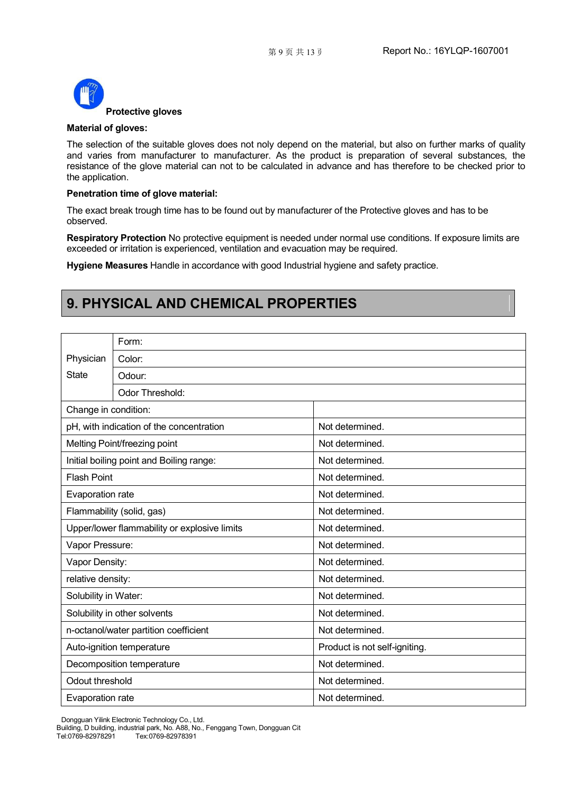

#### **Material of gloves:**

The selection of the suitable gloves does not noly depend on the material, but also on further marks of quality and varies from manufacturer to manufacturer. As the product is preparation of several substances, the resistance of the glove material can not to be calculated in advance and has therefore to be checked prior to the application.

#### **Penetration time of glove material:**

The exact break trough time has to be found out by manufacturer of the Protective gloves and has to be observed.

**Respiratory Protection** No protective equipment is needed under normal use conditions. If exposure limits are exceeded or irritation is experienced, ventilation and evacuation may be required.

**Hygiene Measures** Handle in accordance with good Industrial hygiene and safety practice.

# **9. PHYSICAL AND CHEMICAL PROPERTIES**

|                      | Form:                                        |                               |
|----------------------|----------------------------------------------|-------------------------------|
| Physician            | Color:                                       |                               |
| <b>State</b>         | Odour:                                       |                               |
|                      | Odor Threshold:                              |                               |
| Change in condition: |                                              |                               |
|                      | pH, with indication of the concentration     | Not determined.               |
|                      | Melting Point/freezing point                 | Not determined.               |
|                      | Initial boiling point and Boiling range:     | Not determined.               |
| <b>Flash Point</b>   |                                              | Not determined.               |
| Evaporation rate     |                                              | Not determined.               |
|                      | Flammability (solid, gas)                    | Not determined.               |
|                      | Upper/lower flammability or explosive limits | Not determined.               |
| Vapor Pressure:      |                                              | Not determined.               |
| Vapor Density:       |                                              | Not determined.               |
| relative density:    |                                              | Not determined.               |
| Solubility in Water: |                                              | Not determined.               |
|                      | Solubility in other solvents                 | Not determined.               |
|                      | n-octanol/water partition coefficient        | Not determined.               |
|                      | Auto-ignition temperature                    | Product is not self-igniting. |
|                      | Decomposition temperature                    | Not determined.               |
| Odout threshold      |                                              | Not determined.               |
| Evaporation rate     |                                              | Not determined.               |

Dongguan Yilink Electronic Technology Co., Ltd.

Building, D building, industrial park, No. A88, No., Fenggang Town, Dongguan Cit Tel:0769-82978291 Tex:0769-82978391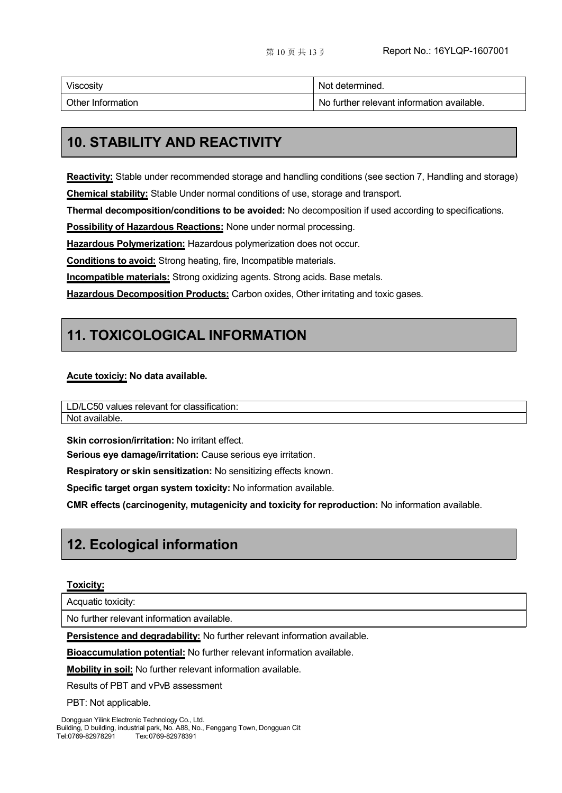| Viscosity         | Not determined.                            |
|-------------------|--------------------------------------------|
| Other Information | No further relevant information available. |

# **10. STABILITY AND REACTIVITY**

**Reactivity:** Stable under recommended storage and handling conditions (see section 7, Handling and storage) **Chemical stability:** Stable Under normal conditions of use, storage and transport.

**Thermal decomposition/conditions to be avoided:** No decomposition if used according to specifications.

**Possibility of Hazardous Reactions:** None under normal processing.

**Hazardous Polymerization:** Hazardous polymerization does not occur.

**Conditions to avoid:** Strong heating, fire, Incompatible materials.

**Incompatible materials:** Strong oxidizing agents. Strong acids. Base metals.

**Hazardous Decomposition Products:** Carbon oxides, Other irritating and toxic gases.

# **11. TOXICOLOGICAL INFORMATION**

#### **Acute toxiciy: No data available.**

LD/LC50 values relevant for classification: Not available.

**Skin corrosion/irritation:** No irritant effect.

**Serious eye damage/irritation:** Cause serious eye irritation.

**Respiratory or skin sensitization:** No sensitizing effects known.

**Specific target organ system toxicity:** No information available.

**CMR effects (carcinogenity, mutagenicity and toxicity for reproduction:** No information available.

# **12. Ecological information**

#### **Toxicity:**

Acquatic toxicity:

No further relevant information available.

**Persistence and degradability:** No further relevant information available.

**Bioaccumulation potential:** No further relevant information available.

**Mobility in soil:** No further relevant information available.

Results of PBT and vPvB assessment

PBT: Not applicable.

Dongguan Yilink Electronic Technology Co., Ltd. Building, D building, industrial park, No. A88, No., Fenggang Town, Dongguan Cit Tel:0769-82978291 Tex:0769-82978391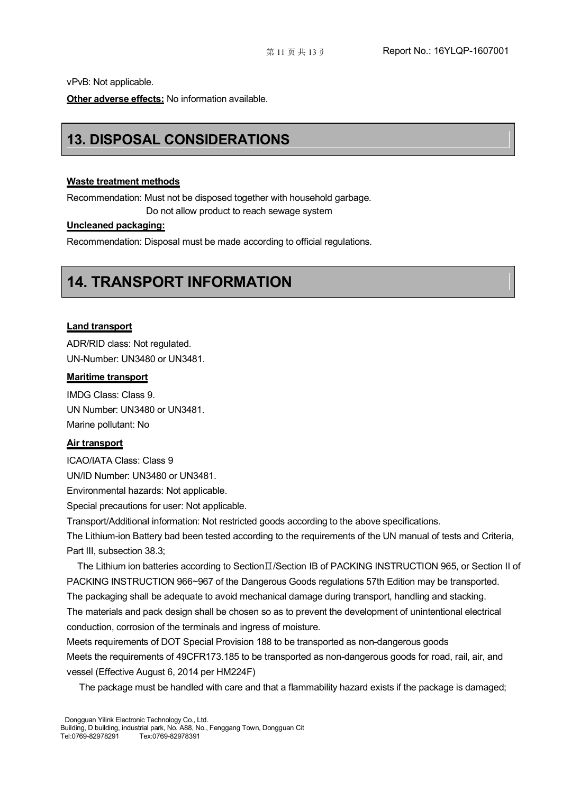vPvB: Not applicable.

**Other adverse effects:** No information available.

# **13. DISPOSAL CONSIDERATIONS**

#### **Waste treatment methods**

Recommendation: Must not be disposed together with household garbage.

Do not allow product to reach sewage system

### **Uncleaned packaging:**

Recommendation: Disposal must be made according to official regulations.

# **14. TRANSPORT INFORMATION**

#### **Land transport**

ADR/RID class: Not regulated. UN-Number: UN3480 or UN3481.

#### **Maritime transport**

IMDG Class: Class 9. UN Number: UN3480 or UN3481. Marine pollutant: No

#### **Air transport**

ICAO/IATA Class: Class 9

UN/ID Number: UN3480 or UN3481.Environmental hazards: Not applicable.

Special precautions for user: Not applicable.

Transport/Additional information: Not restricted goods according to the above specifications.

The Lithium-ion Battery bad been tested according to the requirements of the UN manual of tests and Criteria, Part III, subsection 38.3;

The Lithium ion batteries according to SectionⅡ/Section IB of PACKING INSTRUCTION 965, or Section II of PACKING INSTRUCTION 966~967 of the Dangerous Goods regulations 57th Edition may be transported.

The packaging shall be adequate to avoid mechanical damage during transport, handling and stacking. The materials and pack design shall be chosen so as to prevent the development of unintentional electrical conduction, corrosion of the terminals and ingress of moisture.

Meets requirements of DOT Special Provision 188 to be transported as non-dangerous goods Meets the requirements of 49CFR173.185 to be transported as non-dangerous goods for road, rail, air, and vessel (Effective August 6, 2014 per HM224F)

The package must be handled with care and that a flammability hazard exists if the package is damaged;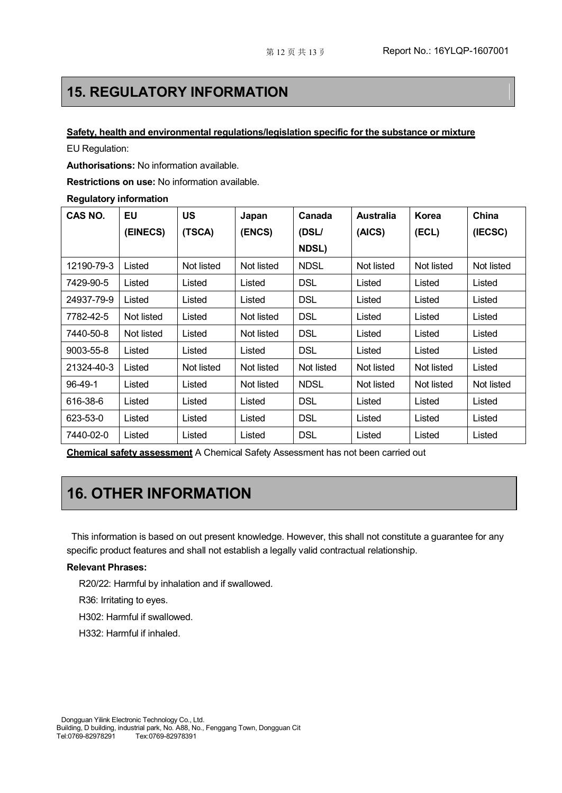## **15. REGULATORY INFORMATION**

#### **Safety, health and environmental regulations/legislation specific for the substance or mixture**

EU Regulation:

**Authorisations:** No information available.

**Restrictions on use:** No information available.

#### **Regulatory information**

| CAS NO.    | <b>EU</b>  | <b>US</b>  | Japan      | Canada       | <b>Australia</b> | Korea      | China      |
|------------|------------|------------|------------|--------------|------------------|------------|------------|
|            | (EINECS)   | (TSCA)     | (ENCS)     | (DSL/        | (AICS)           | (ECL)      | (IECSC)    |
|            |            |            |            | <b>NDSL)</b> |                  |            |            |
| 12190-79-3 | Listed     | Not listed | Not listed | <b>NDSL</b>  | Not listed       | Not listed | Not listed |
| 7429-90-5  | Listed     | Listed     | Listed     | <b>DSL</b>   | Listed           | Listed     | Listed     |
| 24937-79-9 | Listed     | Listed     | Listed     | <b>DSL</b>   | Listed           | Listed     | Listed     |
| 7782-42-5  | Not listed | Listed     | Not listed | <b>DSL</b>   | Listed           | Listed     | Listed     |
| 7440-50-8  | Not listed | Listed     | Not listed | <b>DSL</b>   | Listed           | Listed     | Listed     |
| 9003-55-8  | Listed     | Listed     | Listed     | <b>DSL</b>   | Listed           | Listed     | Listed     |
| 21324-40-3 | Listed     | Not listed | Not listed | Not listed   | Not listed       | Not listed | Listed     |
| 96-49-1    | Listed     | Listed     | Not listed | <b>NDSL</b>  | Not listed       | Not listed | Not listed |
| 616-38-6   | Listed     | Listed     | Listed     | <b>DSL</b>   | Listed           | Listed     | Listed     |
| 623-53-0   | Listed     | Listed     | Listed     | <b>DSL</b>   | Listed           | Listed     | Listed     |
| 7440-02-0  | Listed     | Listed     | Listed     | <b>DSL</b>   | Listed           | Listed     | Listed     |

**Chemical safety assessment** A Chemical Safety Assessment has not been carried out

# **16. OTHER INFORMATION**

This information is based on out present knowledge. However, this shall not constitute a guarantee for any specific product features and shall not establish a legally valid contractual relationship.

#### **Relevant Phrases:**

R20/22: Harmful by inhalation and if swallowed.

R36: Irritating to eyes.

H302: Harmful if swallowed.

H332: Harmful if inhaled.